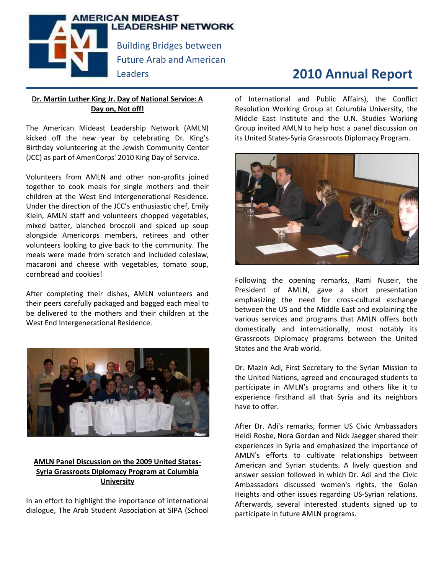

# **2010 Annual Report**

# **Dr. Martin Luther King Jr. Day of National Service: A Day on, Not off!**

The American Mideast Leadership Network (AMLN) kicked off the new year by celebrating Dr. King's Birthday volunteering at the Jewish Community Center (JCC) as part of AmeriCorps' 2010 King Day of Service.

Volunteers from AMLN and other non-profits joined together to cook meals for single mothers and their children at the West End Intergenerational Residence. Under the direction of the JCC's enthusiastic chef, Emily Klein, AMLN staff and volunteers chopped vegetables, mixed batter, blanched broccoli and spiced up soup alongside Americorps members, retirees and other volunteers looking to give back to the community. The meals were made from scratch and included coleslaw, macaroni and cheese with vegetables, tomato soup, cornbread and cookies!

After completing their dishes, AMLN volunteers and their peers carefully packaged and bagged each meal to be delivered to the mothers and their children at the West End Intergenerational Residence.



# **AMLN Panel Discussion on the 2009 United States-Syria Grassroots Diplomacy Program at Columbia University**

In an effort to highlight the importance of international dialogue, The Arab Student Association at SIPA (School of International and Public Affairs), the Conflict Resolution Working Group at Columbia University, the Middle East Institute and the U.N. Studies Working Group invited AMLN to help host a panel discussion on its United States-Syria Grassroots Diplomacy Program.



Following the opening remarks, Rami Nuseir, the President of AMLN, gave a short presentation emphasizing the need for cross-cultural exchange between the US and the Middle East and explaining the various services and programs that AMLN offers both domestically and internationally, most notably its Grassroots Diplomacy programs between the United States and the Arab world.

Dr. Mazin Adi, First Secretary to the Syrian Mission to the United Nations, agreed and encouraged students to participate in AMLN's programs and others like it to experience firsthand all that Syria and its neighbors have to offer.

After Dr. Adi's remarks, former US Civic Ambassadors Heidi Rosbe, Nora Gordan and Nick Jaegger shared their experiences in Syria and emphasized the importance of AMLN's efforts to cultivate relationships between American and Syrian students. A lively question and answer session followed in which Dr. Adi and the Civic Ambassadors discussed women's rights, the Golan Heights and other issues regarding US-Syrian relations. Afterwards, several interested students signed up to participate in future AMLN programs.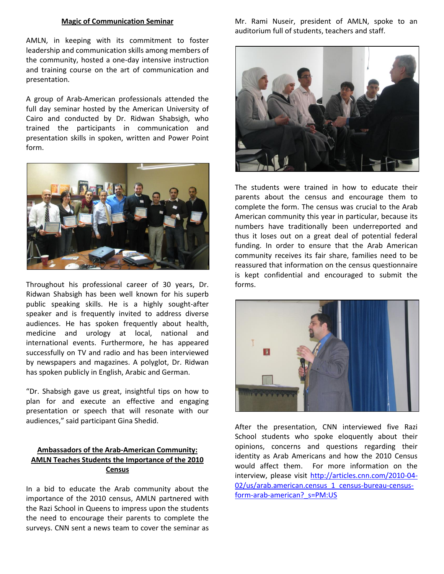#### **Magic of Communication Seminar**

AMLN, in keeping with its commitment to foster leadership and communication skills among members of the community, hosted a one-day intensive instruction and training course on the art of communication and presentation.

A group of Arab-American professionals attended the full day seminar hosted by the American University of Cairo and conducted by Dr. Ridwan Shabsigh, who trained the participants in communication and presentation skills in spoken, written and Power Point form.



Throughout his professional career of 30 years, Dr. Ridwan Shabsigh has been well known for his superb public speaking skills. He is a highly sought-after speaker and is frequently invited to address diverse audiences. He has spoken frequently about health, medicine and urology at local, national and international events. Furthermore, he has appeared successfully on TV and radio and has been interviewed by newspapers and magazines. A polyglot, Dr. Ridwan has spoken publicly in English, Arabic and German.

"Dr. Shabsigh gave us great, insightful tips on how to plan for and execute an effective and engaging presentation or speech that will resonate with our audiences," said participant Gina Shedid.

### **Ambassadors of the Arab-American Community: AMLN Teaches Students the Importance of the 2010 Census**

In a bid to educate the Arab community about the importance of the 2010 census, AMLN partnered with the Razi School in Queens to impress upon the students the need to encourage their parents to complete the surveys. CNN sent a news team to cover the seminar as Mr. Rami Nuseir, president of AMLN, spoke to an auditorium full of students, teachers and staff.



The students were trained in how to educate their parents about the census and encourage them to complete the form. The census was crucial to the Arab American community this year in particular, because its numbers have traditionally been underreported and thus it loses out on a great deal of potential federal funding. In order to ensure that the Arab American community receives its fair share, families need to be reassured that information on the census questionnaire is kept confidential and encouraged to submit the forms.



After the presentation, CNN interviewed five Razi School students who spoke eloquently about their opinions, concerns and questions regarding their identity as Arab Americans and how the 2010 Census would affect them. For more information on the interview, please visit [http://articles.cnn.com/2010-04-](http://articles.cnn.com/2010-04-02/us/arab.american.census_1_census-bureau-census-form-arab-american?_s=PM:US) [02/us/arab.american.census\\_1\\_census-bureau-census](http://articles.cnn.com/2010-04-02/us/arab.american.census_1_census-bureau-census-form-arab-american?_s=PM:US)[form-arab-american?\\_s=PM:US](http://articles.cnn.com/2010-04-02/us/arab.american.census_1_census-bureau-census-form-arab-american?_s=PM:US)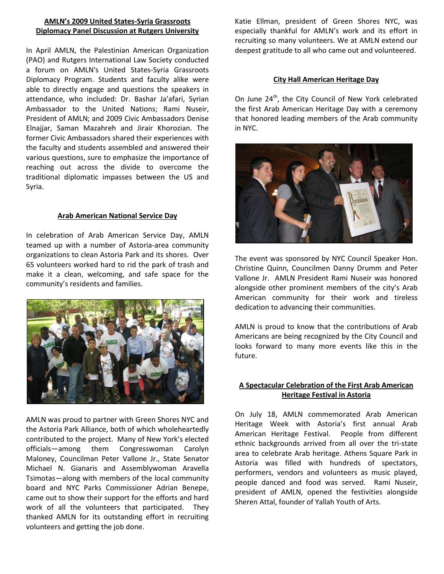#### **AMLN's 2009 United States-Syria Grassroots Diplomacy Panel Discussion at Rutgers University**

In April AMLN, the Palestinian American Organization (PAO) and Rutgers International Law Society conducted a forum on AMLN's United States-Syria Grassroots Diplomacy Program. Students and faculty alike were able to directly engage and questions the speakers in attendance, who included: Dr. Bashar Ja'afari, Syrian Ambassador to the United Nations; Rami Nuseir, President of AMLN; and 2009 Civic Ambassadors Denise Elnajjar, Saman Mazahreh and Jirair Khorozian. The former Civic Ambassadors shared their experiences with the faculty and students assembled and answered their various questions, sure to emphasize the importance of reaching out across the divide to overcome the traditional diplomatic impasses between the US and Syria.

#### **Arab American National Service Day**

In celebration of Arab American Service Day, AMLN teamed up with a number of Astoria-area community organizations to clean Astoria Park and its shores. Over 65 volunteers worked hard to rid the park of trash and make it a clean, welcoming, and safe space for the community's residents and families.



AMLN was proud to partner with Green Shores NYC and the Astoria Park Alliance, both of which wholeheartedly contributed to the project. Many of New York's elected officials—among them Congresswoman Carolyn Maloney, Councilman Peter Vallone Jr., State Senator Michael N. Gianaris and Assemblywoman Aravella Tsimotas—along with members of the local community board and NYC Parks Commissioner Adrian Benepe, came out to show their support for the efforts and hard work of all the volunteers that participated. They thanked AMLN for its outstanding effort in recruiting volunteers and getting the job done.

Katie Ellman, president of Green Shores NYC, was especially thankful for AMLN's work and its effort in recruiting so many volunteers. We at AMLN extend our deepest gratitude to all who came out and volunteered.

#### **City Hall American Heritage Day**

On June 24<sup>th</sup>, the City Council of New York celebrated the first Arab American Heritage Day with a ceremony that honored leading members of the Arab community in NYC.



The event was sponsored by NYC Council Speaker Hon. Christine Quinn, Councilmen Danny Drumm and Peter Vallone Jr. AMLN President Rami Nuseir was honored alongside other prominent members of the city's Arab American community for their work and tireless dedication to advancing their communities.

AMLN is proud to know that the contributions of Arab Americans are being recognized by the City Council and looks forward to many more events like this in the future.

# **A Spectacular Celebration of the First Arab American Heritage Festival in Astoria**

On July 18, AMLN commemorated Arab American Heritage Week with Astoria's first annual Arab American Heritage Festival. People from different ethnic backgrounds arrived from all over the tri-state area to celebrate Arab heritage. Athens Square Park in Astoria was filled with hundreds of spectators, performers, vendors and volunteers as music played, people danced and food was served. Rami Nuseir, president of AMLN, opened the festivities alongside Sheren Attal, founder of Yallah Youth of Arts.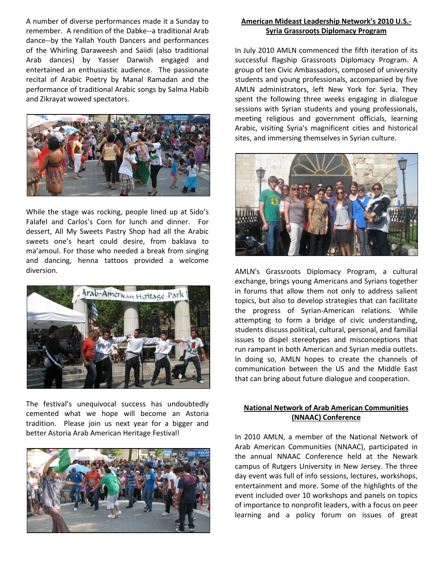A number of diverse performances made it a Sunday to remember. A rendition of the Dabke--a traditional Arab dance--by the Yallah Youth Dancers and performances of the Whirling Daraweesh and Saiidi (also traditional Arab dances) by Yasser Darwish engaged and entertained an enthusiastic audience. The passionate recital of Arabic Poetry by Manal Ramadan and the performance of traditional Arabic songs by Salma Habib and Zikrayat wowed spectators.



While the stage was rocking, people lined up at Sido's Falafel and Carlos's Corn for lunch and dinner. For dessert, All My Sweets Pastry Shop had all the Arabic sweets one's heart could desire, from baklava to ma'amoul. For those who needed a break from singing and dancing, henna tattoos provided a welcome diversion.



The festival's unequivocal success has undoubtedly cemented what we hope will become an Astoria tradition. Please join us next year for a bigger and better Astoria Arab American Heritage Festival!



#### **American Mideast Leadership Network's 2010 U.S.- Syria Grassroots Diplomacy Program**

In July 2010 AMLN commenced the fifth iteration of its successful flagship Grassroots Diplomacy Program. A group of ten Civic Ambassadors, composed of university students and young professionals, accompanied by five AMLN administrators, left New York for Syria. They spent the following three weeks engaging in dialogue sessions with Syrian students and young professionals, meeting religious and government officials, learning Arabic, visiting Syria's magnificent cities and historical sites, and immersing themselves in Syrian culture.



AMLN's Grassroots Diplomacy Program, a cultural exchange, brings young Americans and Syrians together in forums that allow them not only to address salient topics, but also to develop strategies that can facilitate the progress of Syrian-American relations. While attempting to form a bridge of civic understanding, students discuss political, cultural, personal, and familial issues to dispel stereotypes and misconceptions that run rampant in both American and Syrian media outlets. In doing so, AMLN hopes to create the channels of communication between the US and the Middle East that can bring about future dialogue and cooperation.

#### **National Network of Arab American Communities (NNAAC) Conference**

In 2010 AMLN, a member of the National Network of Arab American Communities (NNAAC), participated in the annual NNAAC Conference held at the Newark campus of Rutgers University in New Jersey. The three day event was full of info sessions, lectures, workshops, entertainment and more. Some of the highlights of the event included over 10 workshops and panels on topics of importance to nonprofit leaders, with a focus on peer learning and a policy forum on issues of great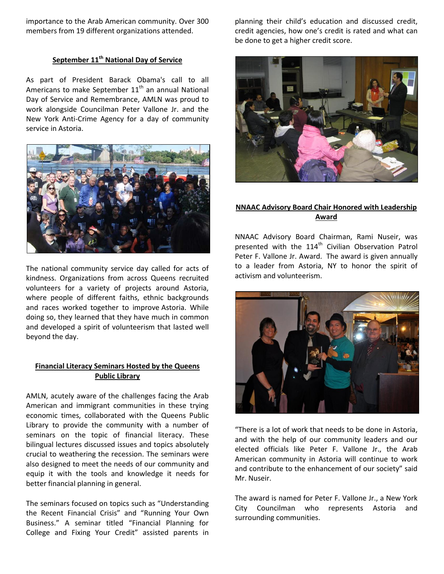importance to the Arab American community. Over 300 members from 19 different organizations attended.

# **September 11th National Day of Service**

As part of President Barack Obama's call to all Americans to make September  $11<sup>th</sup>$  an annual National Day of Service and Remembrance, AMLN was proud to work alongside Councilman Peter Vallone Jr. and the New York Anti-Crime Agency for a day of community service in Astoria.



The national community service day called for acts of kindness. Organizations from across Queens recruited volunteers for a variety of projects around Astoria, where people of different faiths, ethnic backgrounds and races worked together to improve Astoria. While doing so, they learned that they have much in common and developed a spirit of volunteerism that lasted well beyond the day.

#### **Financial Literacy Seminars Hosted by the Queens Public Library**

AMLN, acutely aware of the challenges facing the Arab American and immigrant communities in these trying economic times, collaborated with the Queens Public Library to provide the community with a number of seminars on the topic of financial literacy. These bilingual lectures discussed issues and topics absolutely crucial to weathering the recession. The seminars were also designed to meet the needs of our community and equip it with the tools and knowledge it needs for better financial planning in general.

The seminars focused on topics such as "Understanding the Recent Financial Crisis" and "Running Your Own Business." A seminar titled "Financial Planning for College and Fixing Your Credit" assisted parents in

planning their child's education and discussed credit, credit agencies, how one's credit is rated and what can be done to get a higher credit score.



### **NNAAC Advisory Board Chair Honored with Leadership Award**

NNAAC Advisory Board Chairman, Rami Nuseir, was presented with the  $114<sup>th</sup>$  Civilian Observation Patrol Peter F. Vallone Jr. Award. The award is given annually to a leader from Astoria, NY to honor the spirit of activism and volunteerism.



"There is a lot of work that needs to be done in Astoria, and with the help of our community leaders and our elected officials like Peter F. Vallone Jr., the Arab American community in Astoria will continue to work and contribute to the enhancement of our society" said Mr. Nuseir.

The award is named for Peter F. Vallone Jr., a New York City Councilman who represents Astoria and surrounding communities.